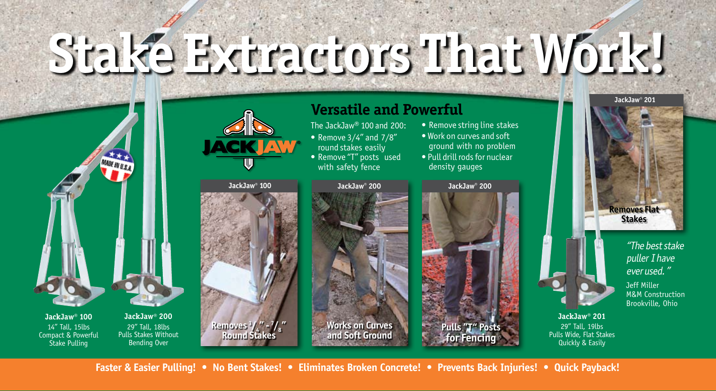# **Stake Extractors That Work!**



**JackJaw® 100**



**JackJaw® 200** 29" Tall, 18lbs Pulls Stakes Without Bending Over

**JackJaw® 100** 14" Tall, 15lbs Compact & Powerful Stake Pulling



- The JackJaw**®** 100 and 200: • Remove  $3/4$ " and  $7/8$ " round stakes easily
- Remove "T" posts used with safety fence



- Remove string line stakes
- Work on curves and soft ground with no problem
- Pull drill rodsfor nuclear density gauges







Jeff Miller M&M Construction Brookville, Ohio

**JackJaw® 201** 29" Tall, 19lbs Pulls Wide, Flat Stakes Quickly & Easily